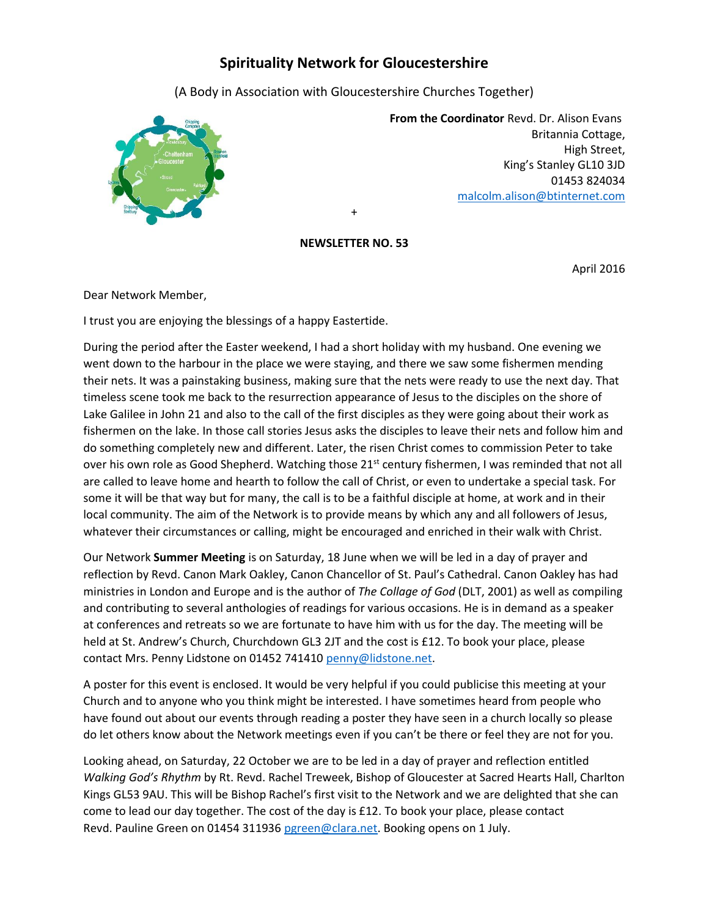## **Spirituality Network for Gloucestershire**

(A Body in Association with Gloucestershire Churches Together)



 **From the Coordinator** Revd. Dr. Alison Evans Britannia Cottage, High Street, King's Stanley GL10 3JD 01453 824034 [malcolm.alison@btinternet.com](mailto:malcolm.alison@btinternet.com)

## **NEWSLETTER NO. 53**

+

April 2016

Dear Network Member,

I trust you are enjoying the blessings of a happy Eastertide.

During the period after the Easter weekend, I had a short holiday with my husband. One evening we went down to the harbour in the place we were staying, and there we saw some fishermen mending their nets. It was a painstaking business, making sure that the nets were ready to use the next day. That timeless scene took me back to the resurrection appearance of Jesus to the disciples on the shore of Lake Galilee in John 21 and also to the call of the first disciples as they were going about their work as fishermen on the lake. In those call stories Jesus asks the disciples to leave their nets and follow him and do something completely new and different. Later, the risen Christ comes to commission Peter to take over his own role as Good Shepherd. Watching those 21<sup>st</sup> century fishermen, I was reminded that not all are called to leave home and hearth to follow the call of Christ, or even to undertake a special task. For some it will be that way but for many, the call is to be a faithful disciple at home, at work and in their local community. The aim of the Network is to provide means by which any and all followers of Jesus, whatever their circumstances or calling, might be encouraged and enriched in their walk with Christ.

Our Network **Summer Meeting** is on Saturday, 18 June when we will be led in a day of prayer and reflection by Revd. Canon Mark Oakley, Canon Chancellor of St. Paul's Cathedral. Canon Oakley has had ministries in London and Europe and is the author of *The Collage of God* (DLT, 2001) as well as compiling and contributing to several anthologies of readings for various occasions. He is in demand as a speaker at conferences and retreats so we are fortunate to have him with us for the day. The meeting will be held at St. Andrew's Church, Churchdown GL3 2JT and the cost is £12. To book your place, please contact Mrs. Penny Lidstone on 01452 741410 [penny@lidstone.net.](mailto:penny@lidstone.net)

A poster for this event is enclosed. It would be very helpful if you could publicise this meeting at your Church and to anyone who you think might be interested. I have sometimes heard from people who have found out about our events through reading a poster they have seen in a church locally so please do let others know about the Network meetings even if you can't be there or feel they are not for you.

Looking ahead, on Saturday, 22 October we are to be led in a day of prayer and reflection entitled *Walking God's Rhythm* by Rt. Revd. Rachel Treweek, Bishop of Gloucester at Sacred Hearts Hall, Charlton Kings GL53 9AU. This will be Bishop Rachel's first visit to the Network and we are delighted that she can come to lead our day together. The cost of the day is £12. To book your place, please contact Revd. Pauline Green on 01454 311936 [pgreen@clara.net.](mailto:pgreen@clara.net) Booking opens on 1 July.